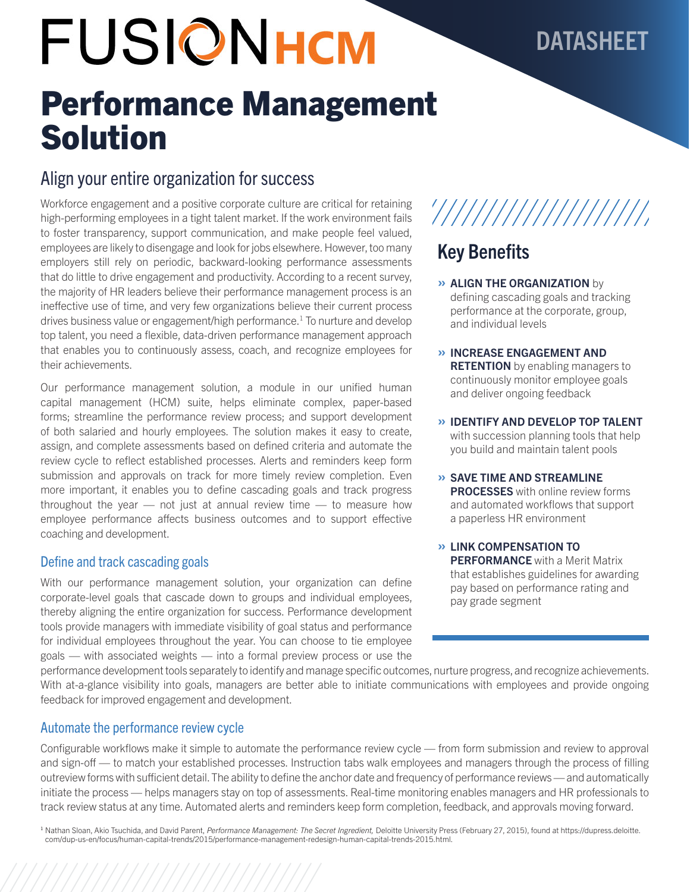# **FUSIONHCM**

# Performance Management Solution

### Align your entire organization for success

Workforce engagement and a positive corporate culture are critical for retaining high-performing employees in a tight talent market. If the work environment fails to foster transparency, support communication, and make people feel valued, employees are likely to disengage and look for jobs elsewhere. However, too many employers still rely on periodic, backward-looking performance assessments that do little to drive engagement and productivity. According to a recent survey, the majority of HR leaders believe their performance management process is an ineffective use of time, and very few organizations believe their current process drives business value or engagement/high performance.<sup>1</sup> To nurture and develop top talent, you need a flexible, data-driven performance management approach that enables you to continuously assess, coach, and recognize employees for their achievements.

Our performance management solution, a module in our unified human capital management (HCM) suite, helps eliminate complex, paper-based forms; streamline the performance review process; and support development of both salaried and hourly employees. The solution makes it easy to create, assign, and complete assessments based on defined criteria and automate the review cycle to reflect established processes. Alerts and reminders keep form submission and approvals on track for more timely review completion. Even more important, it enables you to define cascading goals and track progress throughout the year — not just at annual review time — to measure how employee performance affects business outcomes and to support effective coaching and development.

#### Define and track cascading goals

With our performance management solution, your organization can define corporate-level goals that cascade down to groups and individual employees, thereby aligning the entire organization for success. Performance development tools provide managers with immediate visibility of goal status and performance for individual employees throughout the year. You can choose to tie employee goals — with associated weights — into a formal preview process or use the

# '///////////////////

## Key Benefits

- » ALIGN THE ORGANIZATION by defining cascading goals and tracking performance at the corporate, group, and individual levels
- » INCREASE ENGAGEMENT AND **RETENTION** by enabling managers to continuously monitor employee goals and deliver ongoing feedback
- » IDENTIFY AND DEVELOP TOP TALENT with succession planning tools that help you build and maintain talent pools
- » SAVE TIME AND STREAMLINE PROCESSES with online review forms and automated workflows that support a paperless HR environment
- » LINK COMPENSATION TO **PERFORMANCE** with a Merit Matrix that establishes guidelines for awarding pay based on performance rating and pay grade segment

performance development tools separately to identify and manage specific outcomes, nurture progress, and recognize achievements. With at-a-glance visibility into goals, managers are better able to initiate communications with employees and provide ongoing feedback for improved engagement and development.

#### Automate the performance review cycle

Configurable workflows make it simple to automate the performance review cycle — from form submission and review to approval and sign-off — to match your established processes. Instruction tabs walk employees and managers through the process of filling outreview forms with sufficient detail. The ability to define the anchor date and frequency of performance reviews — and automatically initiate the process — helps managers stay on top of assessments. Real-time monitoring enables managers and HR professionals to track review status at any time. Automated alerts and reminders keep form completion, feedback, and approvals moving forward.

<sup>1</sup> Nathan Sloan, Akio Tsuchida, and David Parent, *Performance Management: The Secret Ingredient*, Deloitte University Press (February 27, 2015), found at https://dupress.deloitte. com/dup-us-en/focus/human-capital-trends/2015/performance-management-redesign-human-capital-trends-2015.html.

## DATASHEET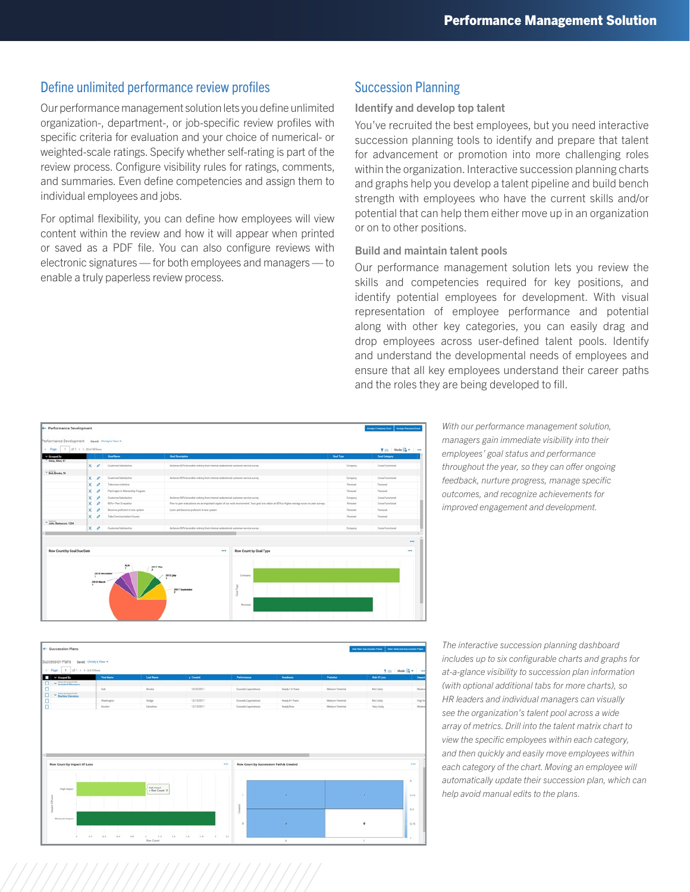#### Define unlimited performance review profiles

Our performance management solution lets you define unlimited organization-, department-, or job-specific review profiles with specific criteria for evaluation and your choice of numerical- or weighted-scale ratings. Specify whether self-rating is part of the review process. Configure visibility rules for ratings, comments, and summaries. Even define competencies and assign them to individual employees and jobs.

For optimal flexibility, you can define how employees will view content within the review and how it will appear when printed or saved as a PDF file. You can also configure reviews with electronic signatures — for both employees and managers — to enable a truly paperless review process.

#### Succession Planning

#### Identify and develop top talent

You've recruited the best employees, but you need interactive succession planning tools to identify and prepare that talent for advancement or promotion into more challenging roles within the organization. Interactive succession planning charts and graphs help you develop a talent pipeline and build bench strength with employees who have the current skills and/or potential that can help them either move up in an organization or on to other positions.

#### Build and maintain talent pools

Our performance management solution lets you review the skills and competencies required for key positions, and identify potential employees for development. With visual representation of employee performance and potential along with other key categories, you can easily drag and drop employees across user-defined talent pools. Identify and understand the developmental needs of employees and ensure that all key employees understand their career paths and the roles they are being developed to fill.



*With our performance management solution, managers gain immediate visibility into their employees' goal status and performance throughout the year, so they can offer ongoing feedback, nurture progress, manage specific outcomes, and recognize achievements for improved engagement and development.* 



*The interactive succession planning dashboard includes up to six configurable charts and graphs for at-a-glance visibility to succession plan information (with optional additional tabs for more charts), so HR leaders and individual managers can visually see the organization's talent pool across a wide array of metrics. Drill into the talent matrix chart to view the specific employees within each category, and then quickly and easily move employees within each category of the chart. Moving an employee will automatically update their succession plan, which can help avoid manual edits to the plans.*